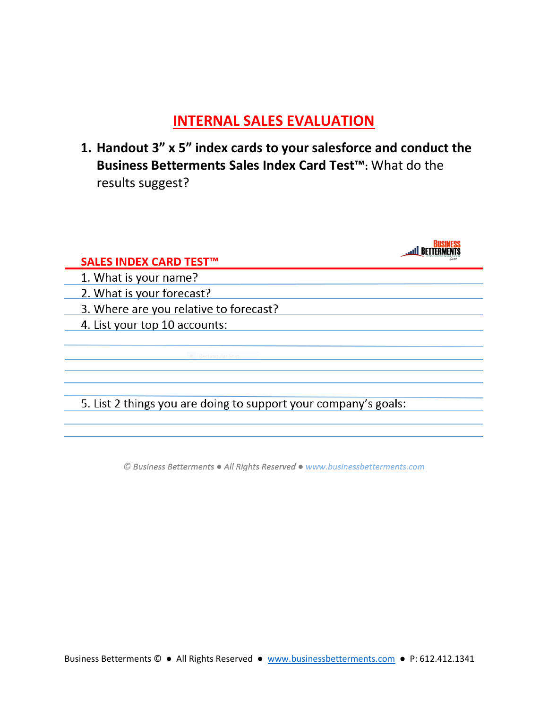## **INTERNAL SALES EVALUATION**

**1. Handout 3" x 5" index cards to your salesforce and conduct the Business Betterments Sales Index Card Test™:** What do the results suggest?

| <b>SALES INDEX CARD TEST™</b>                                   |  |
|-----------------------------------------------------------------|--|
| 1. What is your name?                                           |  |
| 2. What is your forecast?                                       |  |
| 3. Where are you relative to forecast?                          |  |
| 4. List your top 10 accounts:                                   |  |
|                                                                 |  |
| Rectangular Snin                                                |  |
|                                                                 |  |
|                                                                 |  |
| 5. List 2 things you are doing to support your company's goals: |  |

© Business Betterments . All Rights Reserved . www.businessbetterments.com